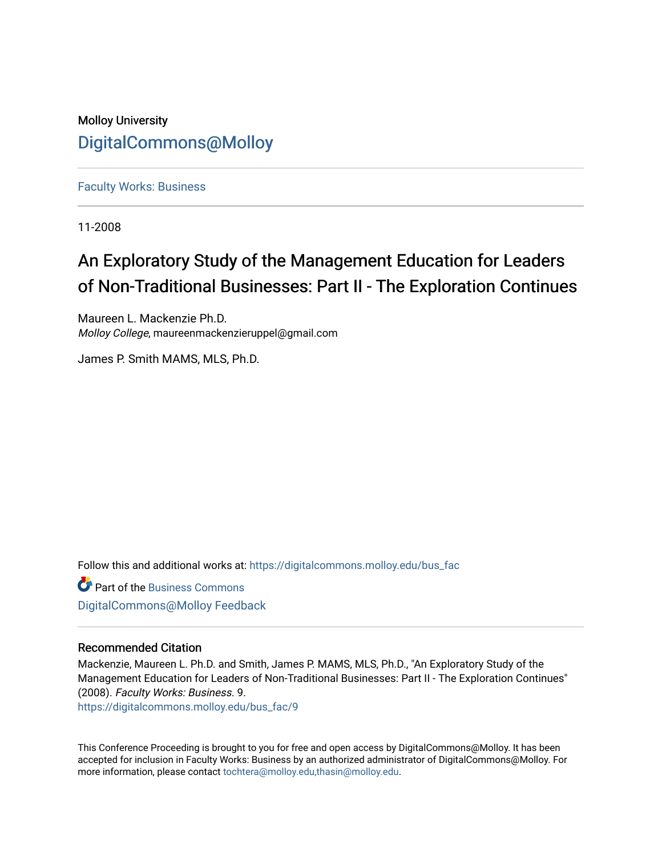### Molloy University [DigitalCommons@Molloy](https://digitalcommons.molloy.edu/)

[Faculty Works: Business](https://digitalcommons.molloy.edu/bus_fac) 

11-2008

# An Exploratory Study of the Management Education for Leaders of Non-Traditional Businesses: Part II - The Exploration Continues

Maureen L. Mackenzie Ph.D. Molloy College, maureenmackenzieruppel@gmail.com

James P. Smith MAMS, MLS, Ph.D.

Follow this and additional works at: [https://digitalcommons.molloy.edu/bus\\_fac](https://digitalcommons.molloy.edu/bus_fac?utm_source=digitalcommons.molloy.edu%2Fbus_fac%2F9&utm_medium=PDF&utm_campaign=PDFCoverPages)

Part of the [Business Commons](https://network.bepress.com/hgg/discipline/622?utm_source=digitalcommons.molloy.edu%2Fbus_fac%2F9&utm_medium=PDF&utm_campaign=PDFCoverPages) [DigitalCommons@Molloy Feedback](https://molloy.libwizard.com/f/dcfeedback)

#### Recommended Citation

Mackenzie, Maureen L. Ph.D. and Smith, James P. MAMS, MLS, Ph.D., "An Exploratory Study of the Management Education for Leaders of Non-Traditional Businesses: Part II - The Exploration Continues" (2008). Faculty Works: Business. 9.

[https://digitalcommons.molloy.edu/bus\\_fac/9](https://digitalcommons.molloy.edu/bus_fac/9?utm_source=digitalcommons.molloy.edu%2Fbus_fac%2F9&utm_medium=PDF&utm_campaign=PDFCoverPages)

This Conference Proceeding is brought to you for free and open access by DigitalCommons@Molloy. It has been accepted for inclusion in Faculty Works: Business by an authorized administrator of DigitalCommons@Molloy. For more information, please contact [tochtera@molloy.edu,thasin@molloy.edu.](mailto:tochtera@molloy.edu,thasin@molloy.edu)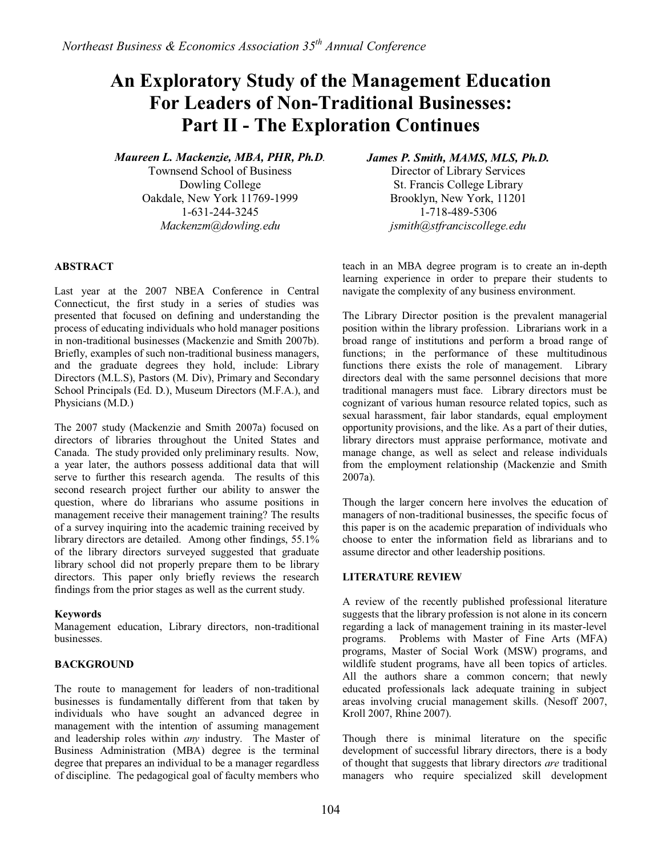## **An Exploratory Study of the Management Education For Leaders of Non-Traditional Businesses: Part II - The Exploration Continues**

*Maureen L. Mackenzie, MBA, PHR, Ph.D.* 

Townsend School of Business Dowling College Oakdale, New York 11769-1999 1-631-244-3245 *Mackenzm@dowling.edu*

*James P. Smith, MAMS, MLS, Ph.D.* 

Director of Library Services St. Francis College Library Brooklyn, New York, 11201 1-718-489-5306 *jsmith@stfranciscollege.edu*

#### **ABSTRACT**

Last year at the 2007 NBEA Conference in Central Connecticut, the first study in a series of studies was presented that focused on defining and understanding the process of educating individuals who hold manager positions in non-traditional businesses (Mackenzie and Smith 2007b). Briefly, examples of such non-traditional business managers, and the graduate degrees they hold, include: Library Directors (M.L.S), Pastors (M. Div), Primary and Secondary School Principals (Ed. D.), Museum Directors (M.F.A.), and Physicians (M.D.)

The 2007 study (Mackenzie and Smith 2007a) focused on directors of libraries throughout the United States and Canada. The study provided only preliminary results. Now, a year later, the authors possess additional data that will serve to further this research agenda. The results of this second research project further our ability to answer the question, where do librarians who assume positions in management receive their management training? The results of a survey inquiring into the academic training received by library directors are detailed. Among other findings, 55.1% of the library directors surveyed suggested that graduate library school did not properly prepare them to be library directors. This paper only briefly reviews the research findings from the prior stages as well as the current study.

#### **Keywords**

Management education, Library directors, non-traditional businesses.

#### **BACKGROUND**

The route to management for leaders of non-traditional businesses is fundamentally different from that taken by individuals who have sought an advanced degree in management with the intention of assuming management and leadership roles within *any* industry. The Master of Business Administration (MBA) degree is the terminal degree that prepares an individual to be a manager regardless of discipline. The pedagogical goal of faculty members who teach in an MBA degree program is to create an in-depth learning experience in order to prepare their students to navigate the complexity of any business environment.

The Library Director position is the prevalent managerial position within the library profession. Librarians work in a broad range of institutions and perform a broad range of functions; in the performance of these multitudinous functions there exists the role of management. Library directors deal with the same personnel decisions that more traditional managers must face. Library directors must be cognizant of various human resource related topics, such as sexual harassment, fair labor standards, equal employment opportunity provisions, and the like. As a part of their duties, library directors must appraise performance, motivate and manage change, as well as select and release individuals from the employment relationship (Mackenzie and Smith 2007a).

Though the larger concern here involves the education of managers of non-traditional businesses, the specific focus of this paper is on the academic preparation of individuals who choose to enter the information field as librarians and to assume director and other leadership positions.

#### **LITERATURE REVIEW**

A review of the recently published professional literature suggests that the library profession is not alone in its concern regarding a lack of management training in its master-level programs. Problems with Master of Fine Arts (MFA) programs, Master of Social Work (MSW) programs, and wildlife student programs, have all been topics of articles. All the authors share a common concern; that newly educated professionals lack adequate training in subject areas involving crucial management skills. (Nesoff 2007, Kroll 2007, Rhine 2007).

Though there is minimal literature on the specific development of successful library directors, there is a body of thought that suggests that library directors *are* traditional managers who require specialized skill development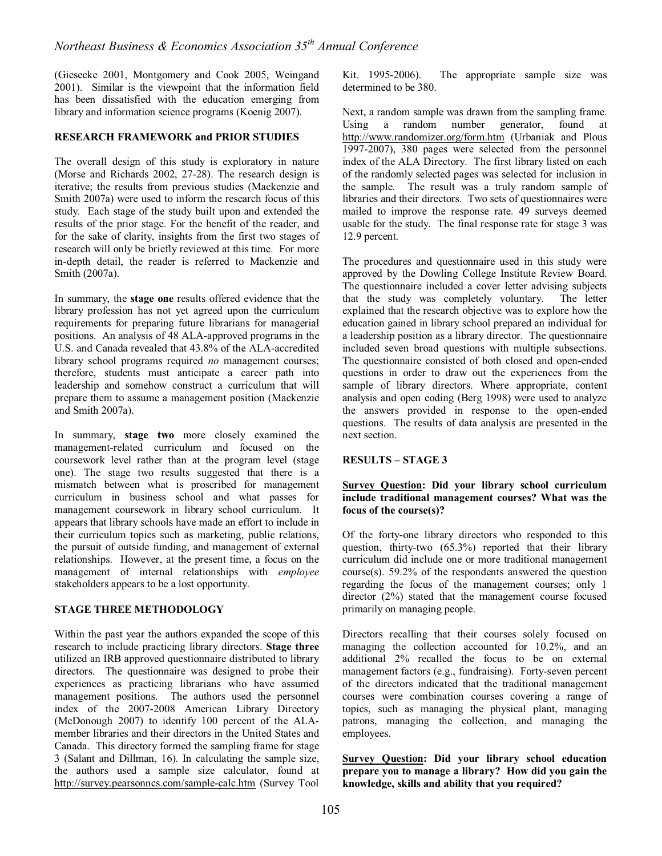(Giesecke 2001, Montgomery and Cook 2005, Weingand 2001). Similar is the viewpoint that the information field has been dissatisfied with the education emerging from library and information science programs (Koenig 2007).

#### **RESEARCH FRAMEWORK and PRIOR STUDIES**

The overall design of this study is exploratory in nature (Morse and Richards 2002, 27-28). The research design is iterative; the results from previous studies (Mackenzie and Smith 2007a) were used to inform the research focus of this study. Each stage of the study built upon and extended the results of the prior stage. For the benefit of the reader, and for the sake of clarity, insights from the first two stages of research will only be briefly reviewed at this time. For more in-depth detail, the reader is referred to Mackenzie and Smith (2007a).

In summary, the **stage one** results offered evidence that the library profession has not yet agreed upon the curriculum requirements for preparing future librarians for managerial positions. An analysis of 48 ALA-approved programs in the U.S. and Canada revealed that 43.8% of the ALA-accredited library school programs required *no* management courses; therefore, students must anticipate a career path into leadership and somehow construct a curriculum that will prepare them to assume a management position (Mackenzie and Smith 2007a).

In summary, **stage two** more closely examined the management-related curriculum and focused on the coursework level rather than at the program level (stage one). The stage two results suggested that there is a mismatch between what is proscribed for management curriculum in business school and what passes for management coursework in library school curriculum. It appears that library schools have made an effort to include in their curriculum topics such as marketing, public relations, the pursuit of outside funding, and management of external relationships. However, at the present time, a focus on the management of internal relationships with *employee* stakeholders appears to be a lost opportunity.

#### **STAGE THREE METHODOLOGY**

Within the past year the authors expanded the scope of this research to include practicing library directors. **Stage three** utilized an IRB approved questionnaire distributed to library directors. The questionnaire was designed to probe their experiences as practicing librarians who have assumed management positions. The authors used the personnel index of the 2007-2008 American Library Directory (McDonough 2007) to identify 100 percent of the ALAmember libraries and their directors in the United States and Canada. This directory formed the sampling frame for stage 3 (Salant and Dillman, 16). In calculating the sample size, the authors used a sample size calculator, found at http://survey.pearsonncs.com/sample-calc.htm (Survey Tool

Kit. 1995-2006). The appropriate sample size was determined to be 380.

Next, a random sample was drawn from the sampling frame. Using a random number generator, found at http://www.randomizer.org/form.htm (Urbaniak and Plous 1997-2007), 380 pages were selected from the personnel index of the ALA Directory. The first library listed on each of the randomly selected pages was selected for inclusion in the sample. The result was a truly random sample of libraries and their directors. Two sets of questionnaires were mailed to improve the response rate. 49 surveys deemed usable for the study. The final response rate for stage 3 was 12.9 percent.

The procedures and questionnaire used in this study were approved by the Dowling College Institute Review Board. The questionnaire included a cover letter advising subjects that the study was completely voluntary. The letter that the study was completely voluntary. explained that the research objective was to explore how the education gained in library school prepared an individual for a leadership position as a library director. The questionnaire included seven broad questions with multiple subsections. The questionnaire consisted of both closed and open-ended questions in order to draw out the experiences from the sample of library directors. Where appropriate, content analysis and open coding (Berg 1998) were used to analyze the answers provided in response to the open-ended questions. The results of data analysis are presented in the next section.

#### **RESULTS – STAGE 3**

#### **Survey Question: Did your library school curriculum include traditional management courses? What was the focus of the course(s)?**

Of the forty-one library directors who responded to this question, thirty-two (65.3%) reported that their library curriculum did include one or more traditional management course(s). 59.2% of the respondents answered the question regarding the focus of the management courses; only 1 director (2%) stated that the management course focused primarily on managing people.

Directors recalling that their courses solely focused on managing the collection accounted for 10.2%, and an additional 2% recalled the focus to be on external management factors (e.g., fundraising). Forty-seven percent of the directors indicated that the traditional management courses were combination courses covering a range of topics, such as managing the physical plant, managing patrons, managing the collection, and managing the employees.

**Survey Question: Did your library school education prepare you to manage a library? How did you gain the knowledge, skills and ability that you required?**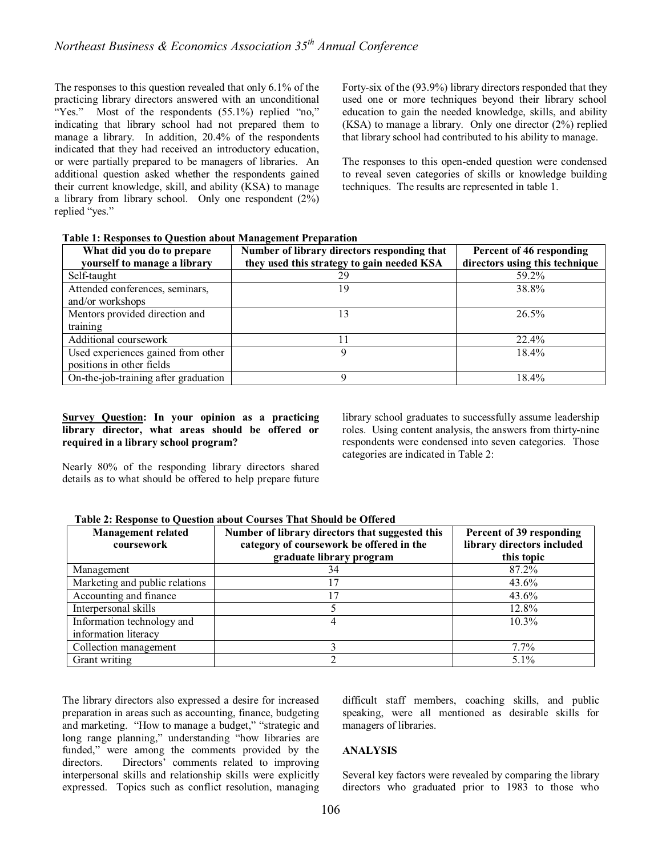The responses to this question revealed that only 6.1% of the practicing library directors answered with an unconditional "Yes." Most of the respondents (55.1%) replied "no," indicating that library school had not prepared them to manage a library. In addition, 20.4% of the respondents indicated that they had received an introductory education, or were partially prepared to be managers of libraries. An additional question asked whether the respondents gained their current knowledge, skill, and ability (KSA) to manage a library from library school. Only one respondent  $(2\%)$ replied "yes."

Forty-six of the (93.9%) library directors responded that they used one or more techniques beyond their library school education to gain the needed knowledge, skills, and ability (KSA) to manage a library. Only one director (2%) replied that library school had contributed to his ability to manage.

The responses to this open-ended question were condensed to reveal seven categories of skills or knowledge building techniques. The results are represented in table 1.

| What did you do to prepare<br>yourself to manage a library | Number of library directors responding that<br>they used this strategy to gain needed KSA | Percent of 46 responding<br>directors using this technique |
|------------------------------------------------------------|-------------------------------------------------------------------------------------------|------------------------------------------------------------|
| Self-taught                                                | 29                                                                                        | 59.2%                                                      |
| Attended conferences, seminars,                            | 19                                                                                        | 38.8%                                                      |
| and/or workshops                                           |                                                                                           |                                                            |
| Mentors provided direction and                             | 13                                                                                        | $26.5\%$                                                   |
| training                                                   |                                                                                           |                                                            |
| Additional coursework                                      |                                                                                           | $22.4\%$                                                   |
| Used experiences gained from other                         | Q                                                                                         | $18.4\%$                                                   |
| positions in other fields                                  |                                                                                           |                                                            |
| On-the-job-training after graduation                       | Ω                                                                                         | 18.4%                                                      |

#### **Table 1: Responses to Question about Management Preparation**

#### **Survey Question: In your opinion as a practicing library director, what areas should be offered or required in a library school program?**

Nearly 80% of the responding library directors shared details as to what should be offered to help prepare future library school graduates to successfully assume leadership roles. Using content analysis, the answers from thirty-nine respondents were condensed into seven categories. Those categories are indicated in Table 2:

#### **Table 2: Response to Question about Courses That Should be Offered**

| <b>Management related</b><br>coursework            | Number of library directors that suggested this<br>category of coursework be offered in the<br>graduate library program | Percent of 39 responding<br>library directors included<br>this topic |
|----------------------------------------------------|-------------------------------------------------------------------------------------------------------------------------|----------------------------------------------------------------------|
| Management                                         | 34                                                                                                                      | 87.2%                                                                |
| Marketing and public relations                     | 7                                                                                                                       | 43.6%                                                                |
| Accounting and finance                             | 17                                                                                                                      | $43.6\%$                                                             |
| Interpersonal skills                               |                                                                                                                         | 12.8%                                                                |
| Information technology and<br>information literacy |                                                                                                                         | $10.3\%$                                                             |
| Collection management                              |                                                                                                                         | $7.7\%$                                                              |
| Grant writing                                      |                                                                                                                         | $5.1\%$                                                              |

The library directors also expressed a desire for increased preparation in areas such as accounting, finance, budgeting and marketing. "How to manage a budget," "strategic and long range planning," understanding "how libraries are funded," were among the comments provided by the directors. Directors' comments related to improving interpersonal skills and relationship skills were explicitly expressed. Topics such as conflict resolution, managing difficult staff members, coaching skills, and public speaking, were all mentioned as desirable skills for managers of libraries.

#### **ANALYSIS**

Several key factors were revealed by comparing the library directors who graduated prior to 1983 to those who